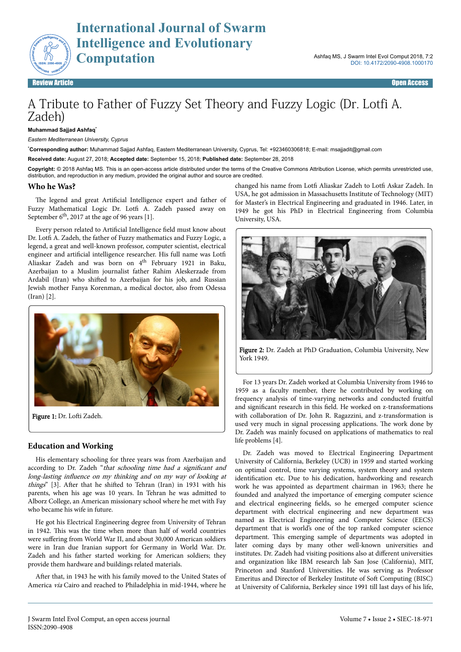

# A Tribute to Father of Fuzzy Set Theory and Fuzzy Logic (Dr. Lotfi A. Zadeh)

#### **Muhammad Sajjad Ashfaq**\*

*Eastern Mediterranean University, Cyprus*

\***Corresponding author:** Muhammad Sajjad Ashfaq, Eastern Mediterranean University, Cyprus, Tel: +923460306818; E-mail: msajjadit@gmail.com

**Received date:** August 27, 2018; **Accepted date:** September 15, 2018; **Published date:** September 28, 2018

**Copyright:** © 2018 Ashfaq MS. This is an open-access article distributed under the terms of the Creative Commons Attribution License, which permits unrestricted use, distribution, and reproduction in any medium, provided the original author and source are credited.

## **Who he Was?**

The legend and great Artificial Intelligence expert and father of Fuzzy Mathematical Logic Dr. Lotfi A. Zadeh passed away on September  $6<sup>th</sup>$ , 2017 at the age of 96 years [1].

Every person related to Artificial Intelligence field must know about Dr. Lotfi A. Zadeh, the father of Fuzzy mathematics and Fuzzy Logic, a legend, a great and well-known professor, computer scientist, electrical engineer and artificial intelligence researcher. His full name was Lotfi Aliaskar Zadeh and was born on 4<sup>th</sup> February 1921 in Baku, Azerbaijan to a Muslim journalist father Rahim Aleskerzade from Ardabil (Iran) who shifted to Azerbaijan for his job, and Russian Jewish mother Fanya Korenman, a medical doctor, also from Odessa (Iran) [2].



Figure 1: Dr. Lofti Zadeh.

# **Education and Working**

His elementary schooling for three years was from Azerbaijan and according to Dr. Zadeh "that schooling time had a significant and long-lasting influence on my thinking and on my way of looking at things" [3]. After that he shifted to Tehran (Iran) in 1931 with his parents, when his age was 10 years. In Tehran he was admitted to Alborz College, an American missionary school where he met with Fay who became his wife in future.

He got his Electrical Engineering degree from University of Tehran in 1942. Нis was the time when more than half of world countries were suffering from World War II, and about 30,000 American soldiers were in Iran due Iranian support for Germany in World War. Dr. Zadeh and his father started working for American soldiers; they provide them hardware and buildings related materials.

After that, in 1943 he with his family moved to the United States of America via Cairo and reached to Philadelphia in mid-1944, where he changed his name from Lotfi Aliaskar Zadeh to Lotfi Askar Zadeh. In USA, he got admission in Massachusetts Institute of Technology (MIT) for Master's in Electrical Engineering and graduated in 1946. Later, in 1949 he got his PhD in Electrical Engineering from Columbia University, USA.



Figure 2: Dr. Zadeh at PhD Graduation, Columbia University, New York 1949.

For 13 years Dr. Zadeh worked at Columbia University from 1946 to 1959 as a faculty member, there he contributed by working on frequency analysis of time-varying networks and conducted fruitful and significant research in this field. He worked on z-transformations with collaboration of Dr. John R. Ragazzini, and z-transformation is used very much in signal processing applications. Нe work done by Dr. Zadeh was mainly focused on applications of mathematics to real life problems [4].

Dr. Zadeh was moved to Electrical Engineering Department University of California, Berkeley (UCB) in 1959 and started working on optimal control, time varying systems, system theory and system identification etc. Due to his dedication, hardworking and research work he was appointed as department chairman in 1963; there he founded and analyzed the importance of emerging computer science and electrical engineering fields, so he emerged computer science department with electrical engineering and new department was named as Electrical Engineering and Computer Science (EECS) department that is world's one of the top ranked computer science department. Нis emerging sample of departments was adopted in later coming days by many other well-known universities and institutes. Dr. Zadeh had visiting positions also at different universities and organization like IBM research lab San Jose (California), MIT, Princeton and Stanford Universities. He was serving as Professor Emeritus and Director of Berkeley Institute of Soft Computing (BISC) at University of California, Berkeley since 1991 till last days of his life,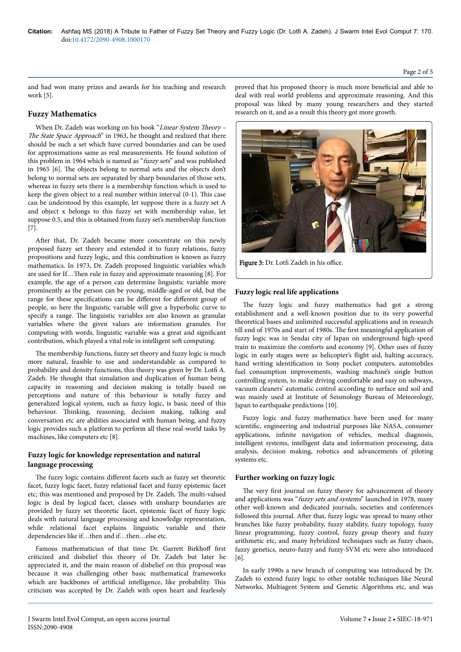#### Page 2 of 5

and had won many prizes and awards for his teaching and research work [5].

## **Fuzzy Mathematics**

When Dr. Zadeh was working on his book "Linear System Theory -The State Space Approach" in 1963, he thought and realized that there should be such a set which have curved boundaries and can be used for approximations same as real measurements. He found solution of this problem in 1964 which is named as "fuzzy sets" and was published in 1965 [6]. Нe objects belong to normal sets and the objects don't belong to normal sets are separated by sharp boundaries of those sets, whereas in fuzzy sets there is a membership function which is used to keep the given object to a real number within interval (0-1). Нis case can be understood by this example, let suppose there is a fuzzy set A and object x belongs to this fuzzy set with membership value, let suppose 0.5, and this is obtained from fuzzy set's membership function [7].

After that, Dr. Zadeh became more concentrate on this newly proposed fuzzy set theory and extended it to fuzzy relations, fuzzy propositions and fuzzy logic, and this combination is known as fuzzy mathematics. In 1973, Dr. Zadeh proposed linguistic variables which are used for If...Then rule in fuzzy and approximate reasoning [8]. For example, the age of a person can determine linguistic variable more prominently as the person can be young, middle-aged or old, but the range for these specifications can be different for different group of people, so here the linguistic variable will give a hyperbolic curve to specify a range. Нe linguistic variables are also known as granular variables where the given values are information granules. For computing with words, linguistic variable was a great and significant contribution, which played a vital role in intelligent soft computing.

The membership functions, fuzzy set theory and fuzzy logic is much more natural, feasible to use and understandable as compared to probability and density functions, this theory was given by Dr. Lotfi A. Zadeh. He thought that simulation and duplication of human being capacity in reasoning and decision making is totally based on perceptions and nature of this behaviour is totally fuzzy and generalized logical system, such as fuzzy logic, is basic need of this behaviour. Thinking, reasoning, decision making, talking and conversation etc are abilities associated with human being, and fuzzy logic provides such a platform to perform all these real-world tasks by machines, like computers etc [8].

## **Fuzzy logic for knowledge representation and natural language processing**

The fuzzy logic contains different facets such as fuzzy set theoretic facet, fuzzy logic facet, fuzzy relational facet and fuzzy epistemic facet etc; this was mentioned and proposed by Dr. Zadeh. Нe multi-valued logic is deal by logical facet, classes with unsharp boundaries are provided by fuzzy set theoretic facet, epistemic facet of fuzzy logic deals with natural language processing and knowledge representation, while relational facet explains linguistic variable and their dependencies like if…then and if…then…else etc.

Famous mathematician of that time Dr. Garrett Birkhoff first criticized and disbelief this theory of Dr. Zadeh but later he appreciated it, and the main reason of disbelief on this proposal was because it was challenging other basic mathematical frameworks which are backbones of artificial intelligence, like probability. Нis criticism was accepted by Dr. Zadeh with open heart and fearlessly proved that his proposed theory is much more beneficial and able to deal with real world problems and approximate reasoning. And this proposal was liked by many young researchers and they started research on it, and as a result this theory got more growth.



Figure 3: Dr. Lotfi Zadeh in his office.

## **Fuzzy logic real life applications**

The fuzzy logic and fuzzy mathematics had got a strong establishment and a well-known position due to its very powerful theoretical bases and unlimited successful applications and in research till end of 1970s and start of 1980s. Нe first meaningful application of fuzzy logic was in Sendai city of Japan on underground high-speed train to maximize the comforts and economy [9]. Other uses of fuzzy logic in early stages were as helicopter's flight aid, halting accuracy, hand writing identification in Sony pocket computers, automobiles fuel consumption improvements, washing machine's single button controlling system, to make driving comfortable and easy on subways, vacuum cleaners' automatic control according to surface and soil and was mainly used at Institute of Seismology Bureau of Meteorology, Japan to earthquake predictions [10].

Fuzzy logic and fuzzy mathematics have been used for many scientific, engineering and industrial purposes like NASA, consumer applications, infinite navigation of vehicles, medical diagnosis, intelligent systems, intelligent data and information processing, data analysis, decision making, robotics and advancements of piloting systems etc.

#### **Further working on fuzzy logic**

The very first journal on fuzzy theory for advancement of theory and applications was "fuzzy sets and systems" launched in 1978, many other well-known and dedicated journals, societies and conferences followed this journal. After that, fuzzy logic was spread to many other branches like fuzzy probability, fuzzy stability, fuzzy topology, fuzzy linear programming, fuzzy control, fuzzy group theory and fuzzy arithmetic etc, and many hybridized techniques such as fuzzy chaos, fuzzy genetics, neuro-fuzzy and fuzzy-SVM etc were also introduced [6].

In early 1990s a new branch of computing was introduced by Dr. Zadeh to extend fuzzy logic to other notable techniques like Neural Networks, Multiagent System and Genetic Algorithms etc, and was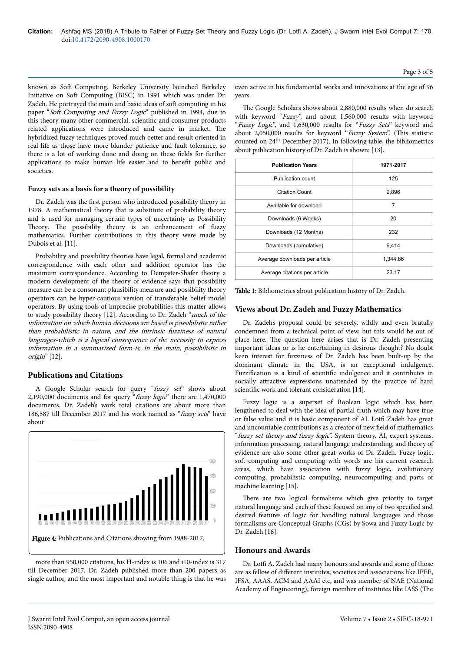known as Soft Computing. Berkeley University launched Berkeley Initiative on Soft Computing (BISC) in 1991 which was under Dr. Zadeh. He portrayed the main and basic ideas of soft computing in his paper "Soft Computing and Fuzzy Logic" published in 1994, due to this theory many other commercial, scientific and consumer products related applications were introduced and came in market. Нe hybridized fuzzy techniques proved much better and result oriented in real life as those have more blunder patience and fault tolerance, so there is a lot of working done and doing on these fields for further applications to make human life easier and to benefit public and societies.

## **Fuzzy sets as a basis for a theory of possibility**

Dr. Zadeh was the first person who introduced possibility theory in 1978. A mathematical theory that is substitute of probability theory and is used for managing certain types of uncertainty us Possibility Theory. The possibility theory is an enhancement of fuzzy mathematics. Further contributions in this theory were made by Dubois et al. [11].

Probability and possibility theories have legal, formal and academic correspondence with each other and addition operator has the maximum correspondence. According to Dempster-Shafer theory a modern development of the theory of evidence says that possibility measure can be a consonant plausibility measure and possibility theory operators can be hyper-cautious version of transferable belief model operators. By using tools of imprecise probabilities this matter allows to study possibility theory [12]. According to Dr. Zadeh "much of the information on which human decisions are based is possibilistic rather than probabilistic in nature, and the intrinsic fuzziness of natural languages-which is a logical consequence of the necessity to express information in a summarized form-is, in the main, possibilistic in origin" [12].

## **Publications and Citations**

A Google Scholar search for query "fuzzy set" shows about 2,190,000 documents and for query "fuzzy logic" there are 1,470,000 documents. Dr. Zadeh's work total citations are about more than 186,587 till December 2017 and his work named as "fuzzy sets" have about



more than 950,000 citations, his H-index is 106 and i10-index is 317 till December 2017. Dr. Zadeh published more than 200 papers as single author, and the most important and notable thing is that he was even active in his fundamental works and innovations at the age of 96 years.

The Google Scholars shows about 2,880,000 results when do search with keyword "Fuzzy", and about 1,560,000 results with keyword "Fuzzy Logic", and 1,630,000 results for "Fuzzy Sets" keyword and about 2,050,000 results for keyword "Fuzzy System". (This statistic counted on 24th December 2017). In following table, the bibliometrics about publication history of Dr. Zadeh is shown: [13].

| <b>Publication Years</b>      | 1971-2017 |
|-------------------------------|-----------|
| <b>Publication count</b>      | 125       |
| <b>Citation Count</b>         | 2,896     |
| Available for download        | 7         |
| Downloads (6 Weeks)           | 20        |
| Downloads (12 Months)         | 232       |
| Downloads (cumulative)        | 9.414     |
| Average downloads per article | 1,344.86  |
| Average citations per article | 23.17     |

Table 1: Bibliometrics about publication history of Dr. Zadeh.

#### **Views about Dr. Zadeh and Fuzzy Mathematics**

Dr. Zadeh's proposal could be severely, wildly and even brutally condemned from a technical point of view, but this would be out of place here. Нe question here arises that is Dr. Zadeh presenting important ideas or is he entertaining in desirous thought? No doubt keen interest for fuzziness of Dr. Zadeh has been built-up by the dominant climate in the USA, is an exceptional indulgence. Fuzzification is a kind of scientific indulgence and it contributes in socially attractive expressions unattended by the practice of hard scientific work and tolerant consideration [14].

Fuzzy logic is a superset of Boolean logic which has been lengthened to deal with the idea of partial truth which may have true or false value and it is basic component of AI. Lotfi Zadeh has great and uncountable contributions as a creator of new field of mathematics "fuzzy set theory and fuzzy logic". System theory, AI, expert systems, information processing, natural language understanding, and theory of evidence are also some other great works of Dr. Zadeh. Fuzzy logic, soft computing and computing with words are his current research areas, which have association with fuzzy logic, evolutionary computing, probabilistic computing, neurocomputing and parts of machine learning [15].

There are two logical formalisms which give priority to target natural language and each of these focused on any of two specified and desired features of logic for handling natural languages and those formalisms are Conceptual Graphs (CGs) by Sowa and Fuzzy Logic by Dr. Zadeh [16].

## **Honours and Awards**

Dr. Lotfi A. Zadeh had many honours and awards and some of those are as fellow of different institutes, societies and associations like IEEE, IFSA, AAAS, ACM and AAAI etc, and was member of NAE (National Academy of Engineering), foreign member of institutes like IASS (The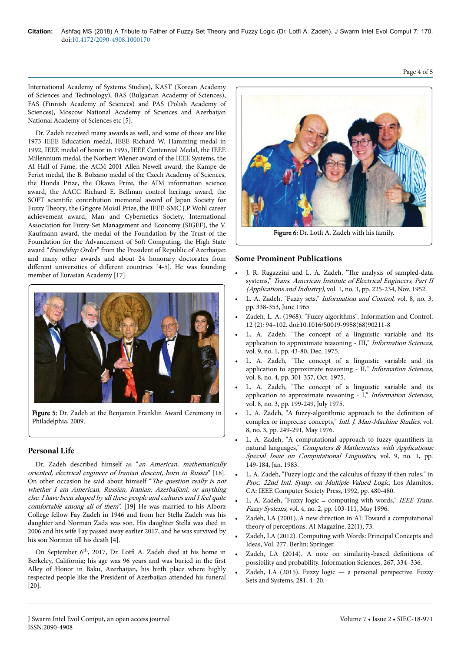Page 4 of 5

International Academy of Systems Studies), KAST (Korean Academy of Sciences and Technology), BAS (Bulgarian Academy of Sciences), FAS (Finnish Academy of Sciences) and PAS (Polish Academy of Sciences), Moscow National Academy of Sciences and Azerbaijan National Academy of Sciences etc [5].

Dr. Zadeh received many awards as well, and some of those are like 1973 IEEE Education medal, IEEE Richard W. Hamming medal in 1992, IEEE medal of honor in 1995, IEEE Centennial Medal, the IEEE Millennium medal, the Norbert Wiener award of the IEEE Systems, the AI Hall of Fame, the ACM 2001 Allen Newell award, the Kampe de Feriet medal, the B. Bolzano medal of the Czech Academy of Sciences, the Honda Prize, the Okawa Prize, the AIM information science award, the AACC Richard E. Bellman control heritage award, the SOFT scientific contribution memorial award of Japan Society for Fuzzy Theory, the Grigore Moisil Prize, the IEEE-SMC J.P Wohl career achievement award, Man and Cybernetics Society, International Association for Fuzzy-Set Management and Economy (SIGEF), the V. Kaufmann award, the medal of the Foundation by the Trust of the Foundation for the Advancement of Soft Computing, the High State award "friendship Order" from the President of Republic of Azerbaijan and many other awards and about 24 honorary doctorates from different universities of different countries [4-5]. He was founding member of Eurasian Academy [17].



Figure 5: Dr. Zadeh at the Benjamin Franklin Award Ceremony in Philadelphia, 2009.

# **Personal Life**

Dr. Zadeh described himself as "an American, mathematically oriented, electrical engineer of Iranian descent, born in Russia" [18]. On other occasion he said about himself "The question really is not whether I am American, Russian, Iranian, Azerbaijani, or anything else. I have been shaped by all these people and cultures and I feel quite comfortable among all of them". [19] He was married to his Alborz College fellow Fay Zadeh in 1946 and from her Stella Zadeh was his daughter and Norman Zada was son. His daughter Stella was died in 2006 and his wife Fay passed away earlier 2017, and he was survived by his son Norman till his death [4].

On September 6<sup>th</sup>, 2017, Dr. Lotfi A. Zadeh died at his home in Berkeley, California; his age was 96 years and was buried in the first Alley of Honor in Baku, Azerbaijan, his birth place where highly respected people like the President of Azerbaijan attended his funeral [20].



Figure 6: Dr. Lotfi A. Zadeh with his family.

# **Some Prominent Publications**

- J. R. Ragazzini and L. A. Zadeh, "The analysis of sampled-data systems," Trans. American Institute of Electrical Engineers, Part II (Applications and Industry), vol. 1, no. 3, pp. 225-234, Nov. 1952.
- L. A. Zadeh, "Fuzzy sets," Information and Control, vol. 8, no. 3, pp. 338-353, June 1965
- Zadeh, L. A. (1968). "Fuzzy algorithms". Information and Control. 12 (2): 94–102. doi:10.1016/S0019-9958(68)90211-8
- L. A. Zadeh, "The concept of a linguistic variable and its application to approximate reasoning - III," Information Sciences, vol. 9, no. 1, pp. 43-80, Dec. 1975.
- L. A. Zadeh, "The concept of a linguistic variable and its application to approximate reasoning - II," Information Sciences, vol. 8, no. 4, pp. 301-357, Oct. 1975.
- L. A. Zadeh, "The concept of a linguistic variable and its application to approximate reasoning - I," Information Sciences, vol. 8, no. 3, pp. 199-249, July 1975.
- L. A. Zadeh, "A fuzzy-algorithmic approach to the definition of complex or imprecise concepts," Intl. J. Man-Machine Studies, vol. 8, no. 3, pp. 249-291, May 1976.
- L. A. Zadeh, "A computational approach to fuzzy quantifiers in natural languages," Computers & Mathematics with Applications: Special Issue on Computational Linguistics, vol. 9, no. 1, pp. 149-184, Jan. 1983.
- L. A. Zadeh, "Fuzzy logic and the calculus of fuzzy if-then rules," in Proc. 22nd Intl. Symp. on Multiple-Valued Logic, Los Alamitos, CA: IEEE Computer Society Press, 1992, pp. 480-480.
- L. A. Zadeh, "Fuzzy logic = computing with words," IEEE Trans. Fuzzy Systems, vol. 4, no. 2, pp. 103-111, May 1996.
- Zadeh, LA (2001). A new direction in AI: Toward a computational theory of perceptions. AI Magazine, 22(1), 73.
- Zadeh, LA (2012). Computing with Words: Principal Concepts and Ideas, Vol. 277. Berlin: Springer.
- Zadeh, LA (2014). A note on similarity-based definitions of possibility and probability. Information Sciences, 267, 334–336.
- Zadeh, LA (2015). Fuzzy logic a personal perspective. Fuzzy Sets and Systems, 281, 4–20.